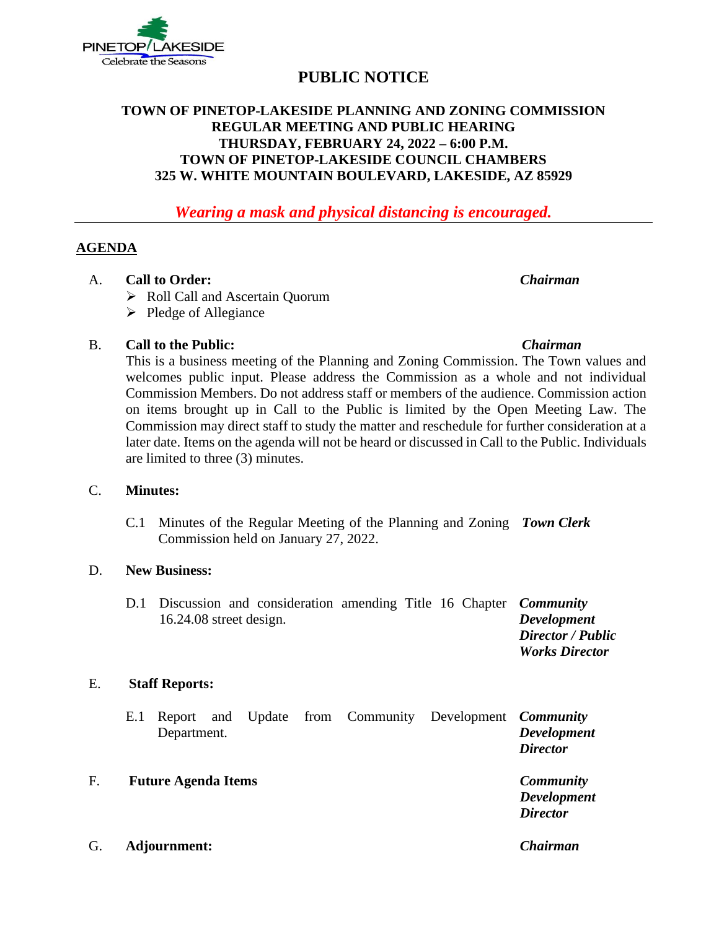

# **PUBLIC NOTICE**

# **TOWN OF PINETOP-LAKESIDE PLANNING AND ZONING COMMISSION REGULAR MEETING AND PUBLIC HEARING THURSDAY, FEBRUARY 24, 2022 – 6:00 P.M. TOWN OF PINETOP-LAKESIDE COUNCIL CHAMBERS 325 W. WHITE MOUNTAIN BOULEVARD, LAKESIDE, AZ 85929**

*Wearing a mask and physical distancing is encouraged.*

# **AGENDA**

- A. **Call to Order:** *Chairman*
	- ➢ Roll Call and Ascertain Quorum
	- ➢ Pledge of Allegiance

# B. **Call to the Public:** *Chairman*

This is a business meeting of the Planning and Zoning Commission. The Town values and welcomes public input. Please address the Commission as a whole and not individual Commission Members. Do not address staff or members of the audience. Commission action on items brought up in Call to the Public is limited by the Open Meeting Law. The Commission may direct staff to study the matter and reschedule for further consideration at a later date. Items on the agenda will not be heard or discussed in Call to the Public. Individuals are limited to three (3) minutes.

### C. **Minutes:**

C.1 Minutes of the Regular Meeting of the Planning and Zoning *Town Clerk* Commission held on January 27, 2022.

### D. **New Business:**

| D.1 Discussion and consideration amending Title 16 Chapter <i>Community</i> |                    |  |  |                       |
|-----------------------------------------------------------------------------|--------------------|--|--|-----------------------|
| $16.24.08$ street design.                                                   | <b>Development</b> |  |  |                       |
|                                                                             |                    |  |  | Director / Public     |
|                                                                             |                    |  |  | <b>Works Director</b> |

### E. **Staff Reports:**

|    | Department.                |  |  | E.1 Report and Update from Community Development <i>Community</i> | <b>Development</b><br><b>Director</b>                     |
|----|----------------------------|--|--|-------------------------------------------------------------------|-----------------------------------------------------------|
| F. | <b>Future Agenda Items</b> |  |  |                                                                   | <b>Community</b><br><b>Development</b><br><b>Director</b> |
|    |                            |  |  |                                                                   |                                                           |

G. **Adjournment:** *Chairman*